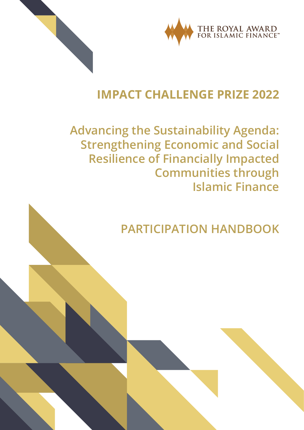



## IMPACT CHALLENGE PRIZE 2022

## **Advancing the Sustainability Agenda: Strengthening Economic and Social Resilience of Financially Impacted Communities through Islamic Finance**

# **PARTICIPATION HANDBOOK**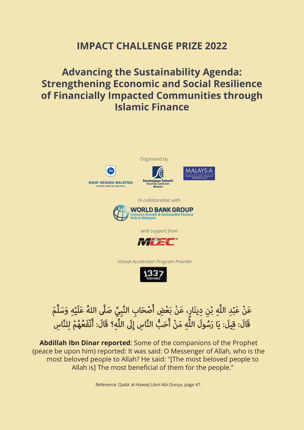### IMPACT CHALLENGE PRIZE 2022

## Advancing the Sustainability Agenda: Strengthening Economic and Social Resilience of Financially Impacted Communities through Islamic Finance



### عَنْ عَبْدِ اللَّهِ بْنِ دِينَارٍ، عَنْ بَعْضِ أَصْحَابِ النَّبِيِّ صَلَّى اللهُ عَلَيْهِ وَسَلَّمَ قَالَ: قِيلَ: يَا رَسُولَ اللَّهِ مَنْ أَحَبُّ النَّاسِ إِلَى اللَّهِ؟ قَالَ: أَنْفَعُهُمْ لِلنَّاسِ ֚֚֚֬

Abdillah Ibn Dinar reported: Some of the companions of the Prophet (peace be upon him) reported: It was said: O Messenger of Allah, who is the most beloved people to Allah? He said: "[The most beloved people to Allah is] The most beneficial of them for the people."

Reference: Qada' al-Hawaij Libni Abi Dunya, page 47.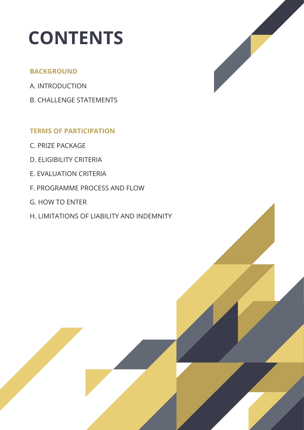# CONTENTS

#### BACKGROUND

- A. INTRODUCTION
- B. CHALLENGE STATEMENTS

### TERMS OF PARTICIPATION

- C. PRIZE PACKAGE
- D. ELIGIBILITY CRITERIA
- E. EVALUATION CRITERIA
- F. PROGRAMME PROCESS AND FLOW
- G. HOW TO ENTER
- H. LIMITATIONS OF LIABILITY AND INDEMNITY

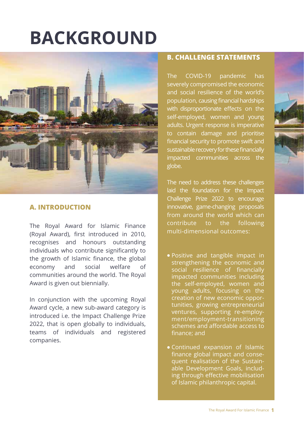# BACKGROUND



#### **A. INTRODUCTION**

The Royal Award for Islamic Finance (Royal Award), first introduced in 2010, recognises and honours outstanding individuals who contribute significantly to the growth of Islamic finance, the global economy and social welfare of communities around the world. The Royal Award is given out biennially.

In conjunction with the upcoming Royal Award cycle, a new sub-award category is introduced i.e. the Impact Challenge Prize 2022, that is open globally to individuals, teams of individuals and registered companies.

#### **B. CHALLENGE STATEMENTS**

The COVID-19 pandemic has severely compromised the economic and social resilience of the world's population, causing financial hardships with disproportionate effects on the self-employed, women and young adults. Urgent response is imperative to contain damage and prioritise financial security to promote swift and sustainable recovery for these financially impacted communities across the globe.

The need to address these challenges laid the foundation for the Impact Challenge Prize 2022 to encourage innovative, game-changing proposals from around the world which can contribute to the following multi-dimensional outcomes:

- Positive and tangible impact in strengthening the economic and social resilience of financially impacted communities including the self-employed, women and young adults, focusing on the creation of new economic opportunities, growing entrepreneurial ventures, supporting re-employment/employment-transitioning schemes and affordable access to finance; and
- Continued expansion of Islamic finance global impact and consequent realisation of the Sustainable Development Goals, including through effective mobilisation of Islamic philanthropic capital.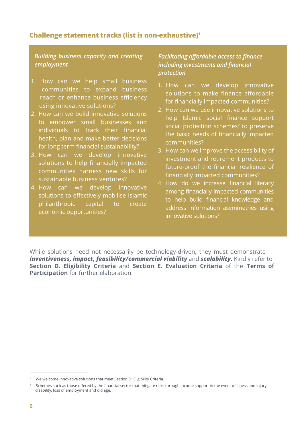#### Challenge statement tracks (list is non-exhaustive)1

#### *Building business capacity and creating employment*

- 1. How can we help small business communities to expand business reach or enhance business efficiency using innovative solutions?
- 2. How can we build innovative solutions to empower small businesses and individuals to track their financial health, plan and make better decisions for long term financial sustainability?
- 3. How can we develop innovative solutions to help financially impacted communities harness new skills for sustainable business ventures?
- 4. How can we develop innovative solutions to effectively mobilise Islamic philanthropic capital to create economic opportunities?

#### *Facilitating affordable access to finance including investments and financial protection*

- 1. How can we develop innovative solutions to make finance affordable for financially impacted communities?
- 2. How can we use innovative solutions to help Islamic social finance support social protection schemes<sup>2</sup> to preserve the basic needs of financially impacted communities?
- 3. How can we improve the accessibility of investment and retirement products to future-proof the financial resilience of financially impacted communities?
- 4. How do we increase financial literacy among financially impacted communities to help build financial knowledge and address information asymmetries using innovative solutions?

While solutions need not necessarily be technology-driven, they must demonstrate *inventiveness, impact, feasibility/commercial viability* and *scalability.* Kindly refer to Section D. Eligibility Criteria and Section E. Evaluation Criteria of the Terms of Participation for further elaboration.

<sup>1</sup> We welcome innovative solutions that meet Section D: Eligibility Criteria.

<sup>&</sup>lt;sup>2</sup> Schemes such as those offered by the financial sector that mitigate risks through income support in the event of illness and injury. disability, loss of employment and old age.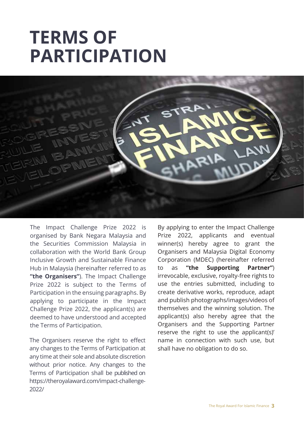# TERMS OF PARTICIPATION



The Impact Challenge Prize 2022 is organised by Bank Negara Malaysia and the Securities Commission Malaysia in collaboration with the World Bank Group Inclusive Growth and Sustainable Finance Hub in Malaysia (hereinafter referred to as "the Organisers"). The Impact Challenge Prize 2022 is subject to the Terms of Participation in the ensuing paragraphs. By applying to participate in the Impact Challenge Prize 2022, the applicant(s) are deemed to have understood and accepted the Terms of Participation.

The Organisers reserve the right to effect any changes to the Terms of Participation at any time at their sole and absolute discretion without prior notice. Any changes to the Terms of Participation shall be published on https://theroyalaward.com/impact-challenge-2022/

By applying to enter the Impact Challenge Prize 2022, applicants and eventual winner(s) hereby agree to grant the Organisers and Malaysia Digital Economy Corporation (MDEC) (hereinafter referred to as "the Supporting Partner") irrevocable, exclusive, royalty-free rights to use the entries submitted, including to create derivative works, reproduce, adapt and publish photographs/images/videos of themselves and the winning solution. The applicant(s) also hereby agree that the Organisers and the Supporting Partner reserve the right to use the applicant(s)' name in connection with such use, but shall have no obligation to do so.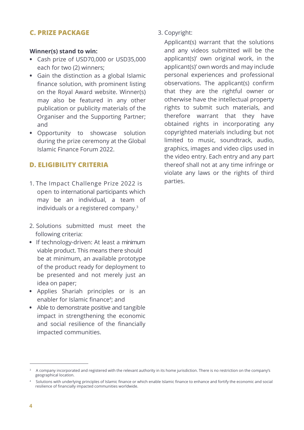#### **C. PRIZE PACKAGE**

#### Winner(s) stand to win:

- **•** Cash prize of USD70,000 or USD35,000 each for two (2) winners;
- **•** Gain the distinction as a global Islamic finance solution, with prominent listing on the Royal Award website. Winner(s) may also be featured in any other publication or publicity materials of the Organiser and the Supporting Partner; and
- **•** Opportunity to showcase solution during the prize ceremony at the Global Islamic Finance Forum 2022.

#### **D. ELIGIBILITY CRITERIA**

- 1. The Impact Challenge Prize 2022 is open to international participants which may be an individual, a team of individuals or a registered company.<sup>3</sup>
- 2. Solutions submitted must meet the following criteria:
- **•** If technology-driven: At least a minimum viable product. This means there should be at minimum, an available prototype of the product ready for deployment to be presented and not merely just an idea on paper;
- **•** Applies Shariah principles or is an enabler for Islamic finance<sup>4</sup>; and
- **•** Able to demonstrate positive and tangible impact in strengthening the economic and social resilience of the financially impacted communities.

3. Copyright:

Applicant(s) warrant that the solutions and any videos submitted will be the applicant(s)' own original work, in the applicant(s)' own words and may include personal experiences and professional observations. The applicant(s) confirm that they are the rightful owner or otherwise have the intellectual property rights to submit such materials, and therefore warrant that they have obtained rights in incorporating any copyrighted materials including but not limited to music, soundtrack, audio, graphics, images and video clips used in the video entry. Each entry and any part thereof shall not at any time infringe or violate any laws or the rights of third parties.

<sup>3</sup>A company incorporated and registered with the relevant authority in its home jurisdiction. There is no restriction on the company's geographical location.

<sup>4</sup>Solutions with underlying principles of Islamic finance or which enable Islamic finance to enhance and fortify the economic and social resilience of financially impacted communities worldwide.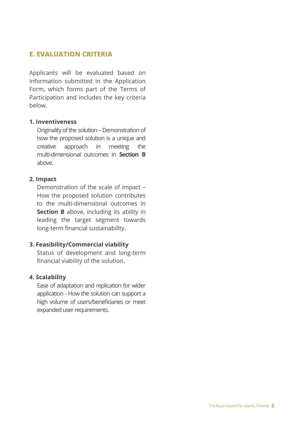#### **E. EVALUATION CRITERIA**

Applicants will be evaluated based on information submitted in the Application Form, which forms part of the Terms of Participation and includes the key criteria below.

#### 1. Inventiveness

Originality of the solution – Demonstration of how the proposed solution is a unique and creative approach in meeting the multi-dimensional outcomes in Section B above.

#### 2. Impact

Demonstration of the scale of impact – How the proposed solution contributes to the multi-dimensional outcomes in Section B above, including its ability in leading the target segment towards long-term financial sustainability.

#### 3. Feasibility/Commercial viability

 Status of development and long-term financial viability of the solution.

#### 4. Scalability

Ease of adaptation and replication for wider application - How the solution can support a high volume of users/beneficiaries or meet expanded user requirements.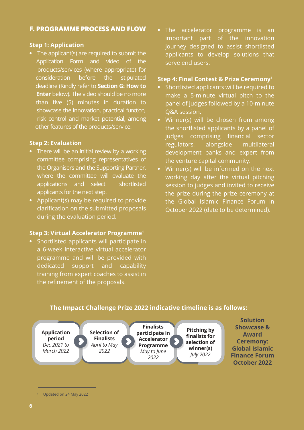#### **F. PROGRAMME PROCESS AND FLOW**

#### Step 1: Application

**•** The applicant(s) are required to submit the Application Form and video of the products/services (where appropriate) for consideration before the stipulated deadline (Kindly refer to Section G: How to **Enter** below). The video should be no more than five (5) minutes in duration to showcase the innovation, practical function, risk control and market potential, among other features of the products/service.

#### Step 2: Evaluation

- **•** There will be an initial review by a working committee comprising representatives of the Organisers and the Supporting Partner, where the committee will evaluate the applications and select shortlisted applicants for the next step.
- **•** Applicant(s) may be required to provide clarification on the submitted proposals during the evaluation period.

#### Step 3: Virtual Accelerator Programme1

**•** Shortlisted applicants will participate in a 6-week interactive virtual accelerator programme and will be provided with dedicated support and capability training from expert coaches to assist in the refinement of the proposals.

**•** The accelerator programme is an important part of the innovation journey designed to assist shortlisted applicants to develop solutions that serve end users.

#### Step 4: Final Contest & Prize Ceremony1

- **•** Shortlisted applicants will be required to make a 5-minute virtual pitch to the panel of judges followed by a 10-minute Q&A session.
- **•** Winner(s) will be chosen from among the shortlisted applicants by a panel of judges comprising financial sector regulators, alongside multilateral development banks and expert from the venture capital community.
- **•** Winner(s) will be informed on the next working day after the virtual pitching session to judges and invited to receive the prize during the prize ceremony at the Global Islamic Finance Forum in October 2022 (date to be determined).

#### The Impact Challenge Prize 2022 indicative timeline is as follows:



Showcase & Award Ceremony: Global Islamic Finance Forum October 2022

**Solution** 

<sup>1</sup> Updated on 24 May 2022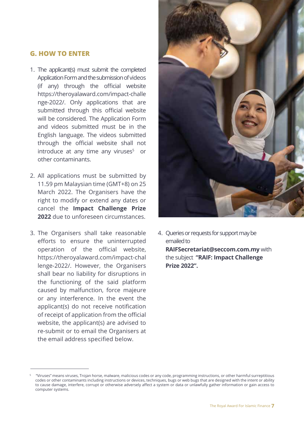#### **G. HOW TO ENTER**

- 1. The applicant(s) must submit the completed Application Form and the submission of videos (if any) through the official website https://theroyalaward.com/impact-challe nge-2022/. Only applications that are submitted through this official website will be considered. The Application Form and videos submitted must be in the English language. The videos submitted through the official website shall not introduce at any time any viruses<sup>5</sup> or other contaminants.
- 2. All applications must be submitted by 11.59 pm Malaysian time (GMT+8) on 25 March 2022. The Organisers have the right to modify or extend any dates or cancel the Impact Challenge Prize 2022 due to unforeseen circumstances.
- 3. The Organisers shall take reasonable efforts to ensure the uninterrupted operation of the official website, https://theroyalaward.com/impact-chal lenge-2022/. However, the Organisers shall bear no liability for disruptions in the functioning of the said platform caused by malfunction, force majeure or any interference. In the event the applicant(s) do not receive notification of receipt of application from the official website, the applicant(s) are advised to re-submit or to email the Organisers at the email address specified below.



4. Queries or requests for support may be emailed to RAIFSecretariat@seccom.com.my with the subject "RAIF: Impact Challenge Prize 2022".

<sup>5 &</sup>quot;Viruses" means viruses, Trojan horse, malware, malicious codes or any code, programming instructions, or other harmful surreptitious codes or other contaminants including instructions or devices, techniques, bugs or web bugs that are designed with the intent or ability to cause damage, interfere, corrupt or otherwise adversely affect a system or data or unlawfully gather information or gain access to computer systems.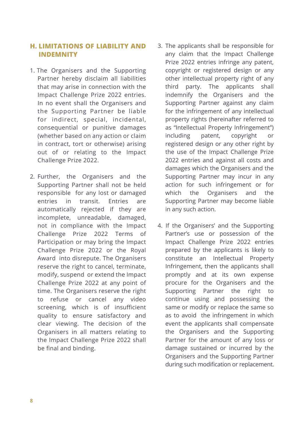#### **H. LIMITATIONS OF LIABILITY AND INDEMNITY**

- 1. The Organisers and the Supporting Partner hereby disclaim all liabilities that may arise in connection with the Impact Challenge Prize 2022 entries. In no event shall the Organisers and the Supporting Partner be liable for indirect, special, incidental, consequential or punitive damages (whether based on any action or claim in contract, tort or otherwise) arising out of or relating to the Impact Challenge Prize 2022.
- 2. Further, the Organisers and the Supporting Partner shall not be held responsible for any lost or damaged entries in transit. Entries are automatically rejected if they are incomplete, unreadable, damaged, not in compliance with the Impact Challenge Prize 2022 Terms of Participation or may bring the Impact Challenge Prize 2022 or the Royal Award into disrepute. The Organisers reserve the right to cancel, terminate, modify, suspend or extend the Impact Challenge Prize 2022 at any point of time. The Organisers reserve the right to refuse or cancel any video screening, which is of insufficient quality to ensure satisfactory and clear viewing. The decision of the Organisers in all matters relating to the Impact Challenge Prize 2022 shall be final and binding.
- 3. The applicants shall be responsible for any claim that the Impact Challenge Prize 2022 entries infringe any patent, copyright or registered design or any other intellectual property right of any third party. The applicants shall indemnify the Organisers and the Supporting Partner against any claim for the infringement of any intellectual property rights (hereinafter referred to as "Intellectual Property Infringement") including patent, copyright or registered design or any other right by the use of the Impact Challenge Prize 2022 entries and against all costs and damages which the Organisers and the Supporting Partner may incur in any action for such infringement or for which the Organisers and the Supporting Partner may become liable in any such action.
- 4. If the Organisers' and the Supporting Partner's use or possession of the Impact Challenge Prize 2022 entries prepared by the applicants is likely to constitute an Intellectual Property Infringement, then the applicants shall promptly and at its own expense procure for the Organisers and the Supporting Partner the right to continue using and possessing the same or modify or replace the same so as to avoid the infringement in which event the applicants shall compensate the Organisers and the Supporting Partner for the amount of any loss or damage sustained or incurred by the Organisers and the Supporting Partner during such modification or replacement.